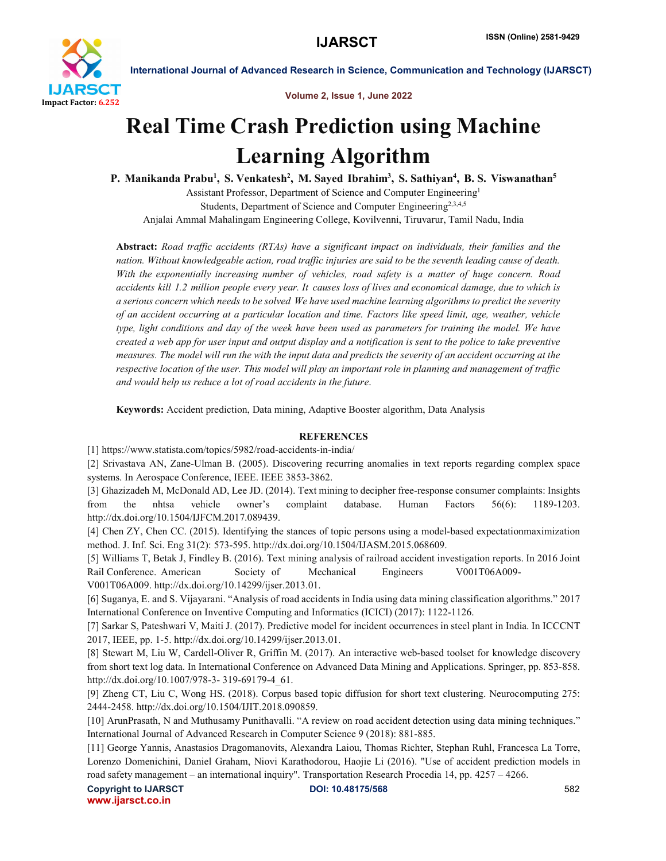

International Journal of Advanced Research in Science, Communication and Technology (IJARSCT)

#### Volume 2, Issue 1, June 2022

# Real Time Crash Prediction using Machine Learning Algorithm

P. Manikanda Prabu<sup>1</sup>, S. Venkatesh<sup>2</sup>, M. Sayed Ibrahim<sup>3</sup>, S. Sathiyan<sup>4</sup>, B. S. Viswanathan<sup>5</sup>

Assistant Professor, Department of Science and Computer Engineering1 Students, Department of Science and Computer Engineering<sup>2,3,4,5</sup> Anjalai Ammal Mahalingam Engineering College, Kovilvenni, Tiruvarur, Tamil Nadu, India

Abstract: *Road traffic accidents (RTAs) have a significant impact on individuals, their families and the nation. Without knowledgeable action, road traffic injuries are said to be the seventh leading cause of death. With the exponentially increasing number of vehicles, road safety is a matter of huge concern. Road accidents kill 1.2 million people every year. It causes loss of lives and economical damage, due to which is a serious concern which needs to be solved We have used machine learning algorithms to predict the severity of an accident occurring at a particular location and time. Factors like speed limit, age, weather, vehicle type, light conditions and day of the week have been used as parameters for training the model. We have created a web app for user input and output display and a notification is sent to the police to take preventive measures. The model will run the with the input data and predicts the severity of an accident occurring at the respective location of the user. This model will play an important role in planning and management of traffic and would help us reduce a lot of road accidents in the future*.

Keywords: Accident prediction, Data mining, Adaptive Booster algorithm, Data Analysis

## **REFERENCES**

[1] https://www.statista.com/topics/5982/road-accidents-in-india/

[2] Srivastava AN, Zane-Ulman B. (2005). Discovering recurring anomalies in text reports regarding complex space systems. In Aerospace Conference, IEEE. IEEE 3853-3862.

[3] Ghazizadeh M, McDonald AD, Lee JD. (2014). Text mining to decipher free-response consumer complaints: Insights from the nhtsa vehicle owner's complaint database. Human Factors 56(6): 1189-1203. http://dx.doi.org/10.1504/IJFCM.2017.089439.

[4] Chen ZY, Chen CC. (2015). Identifying the stances of topic persons using a model-based expectationmaximization method. J. Inf. Sci. Eng 31(2): 573-595. http://dx.doi.org/10.1504/IJASM.2015.068609.

[5] Williams T, Betak J, Findley B. (2016). Text mining analysis of railroad accident investigation reports. In 2016 Joint Rail Conference. American Society of Mechanical Engineers V001T06A009-

V001T06A009. http://dx.doi.org/10.14299/ijser.2013.01.

[6] Suganya, E. and S. Vijayarani. "Analysis of road accidents in India using data mining classification algorithms." 2017 International Conference on Inventive Computing and Informatics (ICICI) (2017): 1122-1126.

[7] Sarkar S, Pateshwari V, Maiti J. (2017). Predictive model for incident occurrences in steel plant in India. In ICCCNT 2017, IEEE, pp. 1-5. http://dx.doi.org/10.14299/ijser.2013.01.

[8] Stewart M, Liu W, Cardell-Oliver R, Griffin M. (2017). An interactive web-based toolset for knowledge discovery from short text log data. In International Conference on Advanced Data Mining and Applications. Springer, pp. 853-858. http://dx.doi.org/10.1007/978-3- 319-69179-4\_61.

[9] Zheng CT, Liu C, Wong HS. (2018). Corpus based topic diffusion for short text clustering. Neurocomputing 275: 2444-2458. http://dx.doi.org/10.1504/IJIT.2018.090859.

[10] ArunPrasath, N and Muthusamy Punithavalli. "A review on road accident detection using data mining techniques." International Journal of Advanced Research in Computer Science 9 (2018): 881-885.

[11] George Yannis, Anastasios Dragomanovits, Alexandra Laiou, Thomas Richter, Stephan Ruhl, Francesca La Torre, Lorenzo Domenichini, Daniel Graham, Niovi Karathodorou, Haojie Li (2016). "Use of accident prediction models in road safety management – an international inquiry". Transportation Research Procedia 14, pp. 4257 – 4266.